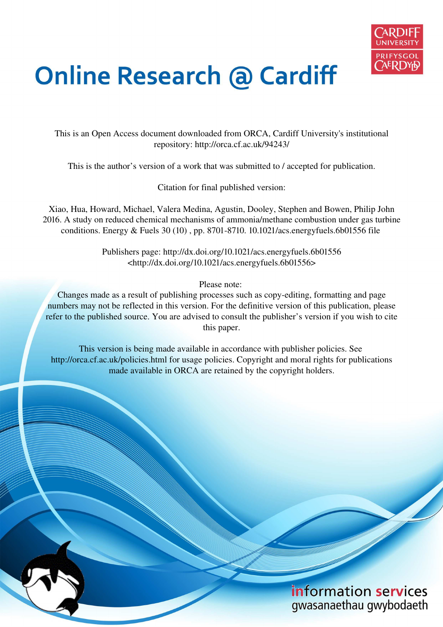

# **Online Research @ Cardiff**

This is an Open Access document downloaded from ORCA, Cardiff University's institutional repository: http://orca.cf.ac.uk/94243/

This is the author's version of a work that was submitted to / accepted for publication.

Citation for final published version:

Xiao, Hua, Howard, Michael, Valera Medina, Agustin, Dooley, Stephen and Bowen, Philip John 2016. A study on reduced chemical mechanisms of ammonia/methane combustion under gas turbine conditions. Energy & Fuels 30 (10) , pp. 8701-8710. 10.1021/acs.energyfuels.6b01556 file

> Publishers page: http://dx.doi.org/10.1021/acs.energyfuels.6b01556 <http://dx.doi.org/10.1021/acs.energyfuels.6b01556>

> > Please note:

Changes made as a result of publishing processes such as copy-editing, formatting and page numbers may not be reflected in this version. For the definitive version of this publication, please refer to the published source. You are advised to consult the publisher's version if you wish to cite this paper.

This version is being made available in accordance with publisher policies. See http://orca.cf.ac.uk/policies.html for usage policies. Copyright and moral rights for publications made available in ORCA are retained by the copyright holders.

# information services gwasanaethau gwybodaeth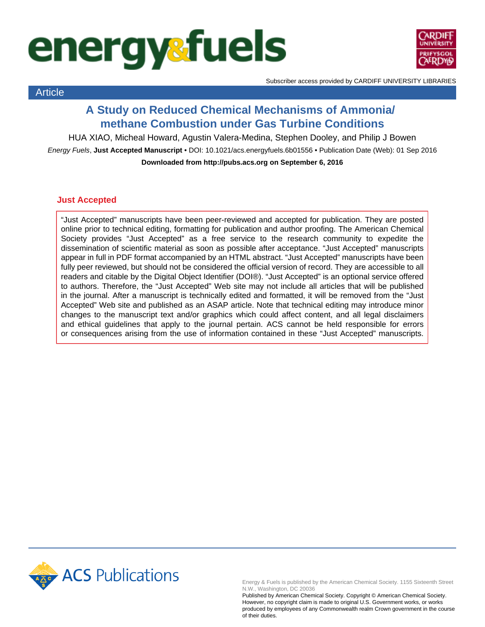# **energysfuels**



Article

Subscriber access provided by CARDIFF UNIVERSITY LIBRARIES

### **A Study on Reduced Chemical Mechanisms of Ammonia/ methane Combustion under Gas Turbine Conditions**

HUA XIAO, Micheal Howard, Agustin Valera-Medina, Stephen Dooley, and Philip J Bowen

Energy Fuels, **Just Accepted Manuscript** • DOI: 10.1021/acs.energyfuels.6b01556 • Publication Date (Web): 01 Sep 2016 **Downloaded from http://pubs.acs.org on September 6, 2016**

#### **Just Accepted**

"Just Accepted" manuscripts have been peer-reviewed and accepted for publication. They are posted online prior to technical editing, formatting for publication and author proofing. The American Chemical Society provides "Just Accepted" as a free service to the research community to expedite the dissemination of scientific material as soon as possible after acceptance. "Just Accepted" manuscripts appear in full in PDF format accompanied by an HTML abstract. "Just Accepted" manuscripts have been fully peer reviewed, but should not be considered the official version of record. They are accessible to all readers and citable by the Digital Object Identifier (DOI®). "Just Accepted" is an optional service offered to authors. Therefore, the "Just Accepted" Web site may not include all articles that will be published in the journal. After a manuscript is technically edited and formatted, it will be removed from the "Just Accepted" Web site and published as an ASAP article. Note that technical editing may introduce minor changes to the manuscript text and/or graphics which could affect content, and all legal disclaimers and ethical guidelines that apply to the journal pertain. ACS cannot be held responsible for errors or consequences arising from the use of information contained in these "Just Accepted" manuscripts.



Energy & Fuels is published by the American Chemical Society. 1155 Sixteenth Street N.W., Washington, DC 20036

Published by American Chemical Society. Copyright © American Chemical Society. However, no copyright claim is made to original U.S. Government works, or works produced by employees of any Commonwealth realm Crown government in the course of their duties.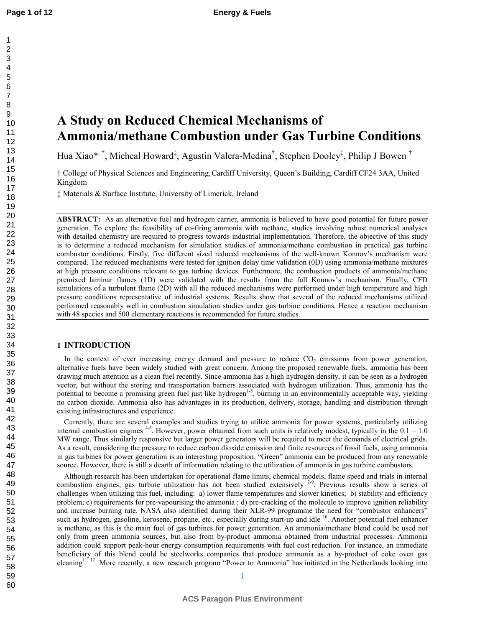## A Study on Reduced Chemical Mechanisms of **Ammonia/methane Combustion under Gas Turbine Conditions**

Hua Xiao\*<sup>, †</sup>, Micheal Howard<sup>‡</sup>, Agustin Valera-Medina<sup>†</sup>, Stephen Dooley<sup>‡</sup>, Philip J Bowen <sup>†</sup>

† College of Physical Sciences and Engineering,Cardiff University, Queen's Building, Cardiff CF24 3AA, United Kingdom

‡ Materials & Surface Institute, University of Limerick, Ireland

**ABSTRACT:** As an alternative fuel and hydrogen carrier, ammonia is believed to have good potential for future power generation. To explore the feasibility of co-firing ammonia with methane, studies involving robust numerical analyses with detailed chemistry are required to progress towards industrial implementation. Therefore, the objective of this study is to determine a reduced mechanism for simulation studies of ammonia/methane combustion in practical gas turbine combustor conditions. Firstly, five different sized reduced mechanisms of the well-known Konnov's mechanism were compared. The reduced mechanisms were tested for ignition delay time validation (0D) using ammonia/methane mixtures at high pressure conditions relevant to gas turbine devices. Furthermore, the combustion products of ammonia/methane premixed laminar flames (1D) were validated with the results from the full Konnov's mechanism. Finally, CFD simulations of a turbulent flame (2D) with all the reduced mechanisms were performed under high temperature and high pressure conditions representative of industrial systems. Results show that several of the reduced mechanisms utilized performed reasonably well in combustion simulation studies under gas turbine conditions. Hence a reaction mechanism with 48 species and 500 elementary reactions is recommended for future studies.

#### **1 INTRODUCTION**

In the context of ever increasing energy demand and pressure to reduce  $CO<sub>2</sub>$  emissions from power generation, alternative fuels have been widely studied with great concern. Among the proposed renewable fuels, ammonia has been drawing much attention as a clean fuel recently. Since ammonia has a high hydrogen density, it can be seen as a hydrogen vector, but without the storing and transportation barriers associated with hydrogen utilization. Thus, ammonia has the potential to become a promising green fuel just like hydrogen<sup>1-5</sup>, burning in an environmentally acceptable way, yielding no carbon dioxide. Ammonia also has advantages in its production, delivery, storage, handling and distribution through existing infrastructures and experience.

Currently, there are several examples and studies trying to utilize ammonia for power systems, particularly utilizing internal combustion engines  $4-6$ . However, power obtained from such units is relatively modest, typically in the  $0.1 - 1.0$ MW range. Thus similarly responsive but larger power generators will be required to meet the demands of electrical grids. As a result, considering the pressure to reduce carbon dioxide emission and finite resources of fossil fuels, using ammonia in gas turbines for power generation is an interesting proposition. "Green" ammonia can be produced from any renewable source. However, there is still a dearth of information relating to the utilization of ammonia in gas turbine combustors.

Although research has been undertaken for operational flame limits, chemical models, flame speed and trials in internal combustion engines, gas turbine utilization has not been studied extensively  $7-9$ . Previous results show a series of challenges when utilizing this fuel, including: a) lower flame temperatures and slower kinetics; b) stability and efficiency problem; c) requirements for pre-vapourising the ammonia; d) pre-cracking of the molecule to improve ignition reliability and increase burning rate. NASA also identified during their XLR-99 programme the need for "combustor enhancers" such as hydrogen, gasoline, kerosene, propane, etc., especially during start-up and idle <sup>10</sup>. Another potential fuel enhancer is methane, as this is the main fuel of gas turbines for power generation. An ammonia/methane blend could be used not only from green ammonia sources, but also from by-product ammonia obtained from industrial processes. Ammonia addition could support peak-hour energy consumption requirements with fuel cost reduction. For instance, an immediate beneficiary of this blend could be steelworks companies that produce ammonia as a by-product of coke oven gas cleaning<sup>11, 12</sup>. More recently, a new research program "Power to Ammonia" has initiated in the Netherlands looking into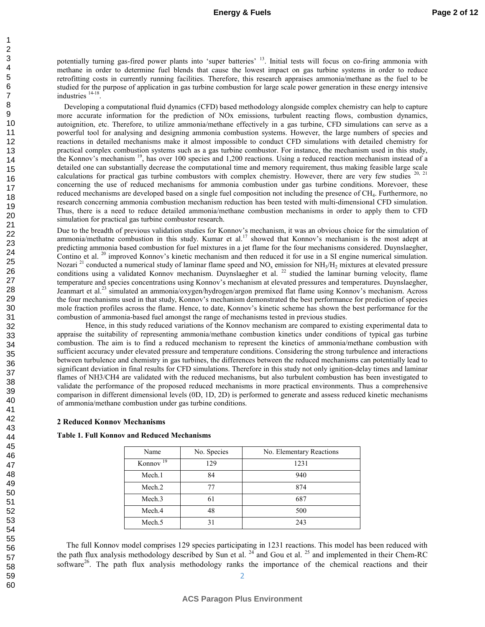potentially turning gas-fired power plants into 'super batteries' <sup>13</sup>. Initial tests will focus on co-firing ammonia with methane in order to determine fuel blends that cause the lowest impact on gas turbine systems in order to reduce retrofitting costs in currently running facilities. Therefore, this research appraises ammonia/methane as the fuel to be studied for the purpose of application in gas turbine combustion for large scale power generation in these energy intensive industries <sup>14-18</sup>.

Developing a computational fluid dynamics (CFD) based methodology alongside complex chemistry can help to capture more accurate information for the prediction of NOx emissions, turbulent reacting flows, combustion dynamics, autoignition, etc. Therefore, to utilize ammonia/methane effectively in a gas turbine, CFD simulations can serve as a powerful tool for analysing and designing ammonia combustion systems. However, the large numbers of species and reactions in detailed mechanisms make it almost impossible to conduct CFD simulations with detailed chemistry for practical complex combustion systems such as a gas turbine combustor. For instance, the mechanism used in this study, the Konnov's mechanism <sup>19</sup>, has over 100 species and 1,200 reactions. Using a reduced reaction mechanism instead of a detailed one can substantially decrease the computational time and memory requirement, thus making feasible large scale calculations for practical gas turbine combustors with complex chemistry. However, there are very few studies  $20$ ,  $21$ concerning the use of reduced mechanisms for ammonia combustion under gas turbine conditions. Morevoer, these reduced mechanisms are developed based on a single fuel composition not including the presence of CH<sub>4</sub>. Furthermore, no research concerning ammonia combustion mechanism reduction has been tested with multi-dimensional CFD simulation. Thus, there is a need to reduce detailed ammonia/methane combustion mechanisms in order to apply them to CFD simulation for practical gas turbine combustor research.

Due to the breadth of previous validation studies for Konnov's mechanism, it was an obvious choice for the simulation of ammonia/methatne combustion in this study. Kumar et al.<sup>17</sup> showed that Konnov's mechanism is the most adept at predicting ammonia based combustion for fuel mixtures in a jet flame for the four mechanisms considered. Duynslaegher, Contino et al. <sup>20</sup> improved Konnov's kinetic mechanism and then reduced it for use in a SI engine numerical simulation. Nozari<sup>21</sup> conducted a numerical study of laminar flame speed and NO<sub>x</sub> emission for NH<sub>3</sub>/H<sub>2</sub> mixtures at elevated pressure conditions using a validated Konnov mechanism. Duynslaegher et al.  $^{22}$  studied the laminar burning velocity, flame temperature and species concentrations using Konnov's mechanism at elevated pressures and temperatures. Duynslaegher, Jeanmart et al.<sup>23</sup> simulated an ammonia/oxygen/hydrogen/argon premixed flat flame using Konnov's mechanism. Across the four mechanisms used in that study, Konnov's mechanism demonstrated the best performance for prediction of species mole fraction profiles across the flame. Hence, to date, Konnov's kinetic scheme has shown the best performance for the combustion of ammoniabased fuel amongst the range of mechanisms tested in previous studies.

Hence, in this study reduced variations of the Konnov mechanism are compared to existing experimental data to appraise the suitability of representing ammonia/methane combustion kinetics under conditions of typical gas turbine combustion. The aim is to find a reduced mechanism to represent the kinetics of ammonia/methane combustion with sufficient accuracy under elevated pressure and temperature conditions. Considering the strong turbulence and interactions between turbulence and chemistry in gas turbines, the differences between the reduced mechanisms can potentially lead to significant deviation in final results for CFD simulations. Therefore in this study not only ignition-delay times and laminar flames of NH3/CH4 are validated with the reduced mechanisms, but also turbulent combustion has been investigated to validate the performance of the proposed reduced mechanisms in more practical environments. Thus a comprehensive comparison in different dimensional levels (0D, 1D, 2D) is performed to generate and assess reduced kinetic mechanisms of ammonia/methane combustion under gas turbine conditions.

#### **2 Reduced Konnov Mechanisms**

| Name                 | No. Species | No. Elementary Reactions |
|----------------------|-------------|--------------------------|
| Konnov <sup>19</sup> | 129         | 1231                     |
| Mech.1               | 84          | 940                      |
| Mech.2               | 77          | 874                      |
| Mech <sub>.3</sub>   | 61          | 687                      |
| Mech.4               | 48          | 500                      |
| Mech.5               | 31          | 243                      |

#### Table 1. Full Konnov and Reduced Mechanisms

The full Konnov model comprises 129 species participating in 1231 reactions. This model has been reduced with the path flux analysis methodology described by Sun et al.  $^{24}$  and Gou et al.  $^{25}$  and implemented in their Chem-RC software<sup>26</sup>. The path flux analysis methodology ranks the importance of the chemical reactions and their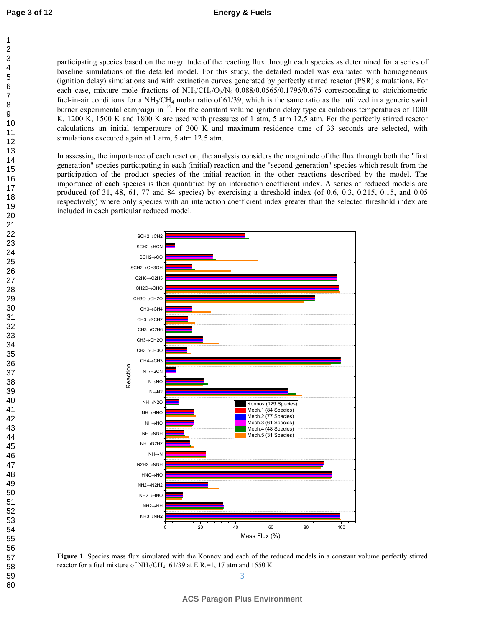#### **Energy & Fuels**

59 60 participating species based on the magnitude of the reacting flux through each species as determined for a series of baseline simulations of the detailed model. For this study, the detailed model was evaluated with homogeneous (ignition delay) simulations and with extinction curves generated by perfectly stirred reactor (PSR) simulations. For each case, mixture mole fractions of  $NH<sub>3</sub>/CH<sub>4</sub>/O<sub>2</sub>/N<sub>2</sub> 0.088/0.0565/0.1795/0.675$  corresponding to stoichiometric fuel-in-air conditions for a  $NH<sub>3</sub>/CH<sub>4</sub>$  molar ratio of 61/39, which is the same ratio as that utilized in a generic swirl burner experimental campaign in  $14$ . For the constant volume ignition delay type calculations temperatures of 1000 K, 1200 K, 1500 K and 1800 K are used with pressures of 1 atm, 5 atm 12.5 atm. For the perfectly stirred reactor calculations an initial temperature of 300 K and maximum residence time of 33 seconds are selected, with simulations executed again at 1 atm, 5 atm 12.5 atm.

In assessing the importance of each reaction, the analysis considers the magnitude of the flux through both the "first generation" species participating in each (initial) reaction and the "second generation" species which result from the participation of the product species of the initial reaction in the other reactions described by the model. The importance of each species is then quantified by an interaction coefficient index. A series of reduced models are produced (of 31, 48, 61, 77 and 84 species) by exercising a threshold index (of 0.6, 0.3, 0.215, 0.15, and 0.05 respectively) where only species with an interaction coefficient index greater than the selected threshold index are included in each particular reduced model.



Figure 1. Species mass flux simulated with the Konnov and each of the reduced models in a constant volume perfectly stirred reactor for a fuel mixture of  $NH<sub>3</sub>/CH<sub>4</sub>$ : 61/39 at E.R.=1, 17 atm and 1550 K.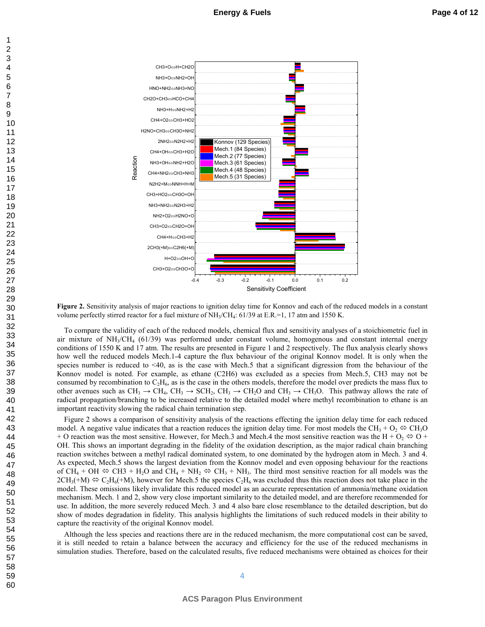

**Figure 2.** Sensitivity analysis of major reactions to ignition delay time for Konnov and each of the reduced models in a constant volume perfectly stirred reactor for a fuel mixture of  $NH<sub>3</sub>/CH<sub>4</sub>$ : 61/39 at E.R.=1, 17 atm and 1550 K.

To compare the validity of each of the reduced models, chemical flux and sensitivity analyses of a stoichiometric fuel in air mixture of NH<sub>3</sub>/CH<sub>4</sub> (61/39) was performed under constant volume, homogenous and constant internal energy conditions of 1550 K and 17 atm. The results are presented in Figure 1 and 2 respectively. The flux analysis clearly shows how well the reduced models Mech.14 capture the flux behaviour of the original Konnov model. It is only when the species number is reduced to  $\leq 40$ , as is the case with Mech.5 that a significant digression from the behaviour of the Konnov model is noted. For example, as ethane (C2H6) was excluded as a species from Mech.5, CH3 may not be consumed by recombination to  $C_2H_6$ , as is the case in the others models, therefore the model over predicts the mass flux to other avenues such as  $CH_3 \rightarrow CH_4$ ,  $CH_3 \rightarrow SCH_2$ ,  $CH_3 \rightarrow CH_2O$  and  $CH_3 \rightarrow CH_3O$ . This pathway allows the rate of radical propagation/branching to be increased relative to the detailed model where methyl recombination to ethane is an important reactivity slowing the radical chain termination step.

Figure 2 shows a comparison of sensitivity analysis of the reactions effecting the ignition delay time for each reduced model. A negative value indicates that a reaction reduces the ignition delay time. For most models the CH<sub>3</sub> + O<sub>2</sub>  $\Leftrightarrow$  CH<sub>3</sub>O + O reaction was the most sensitive. However, for Mech.3 and Mech.4 the most sensitive reaction was the H +  $O_2 \Leftrightarrow O$  + OH. This shows an important degrading in the fidelity of the oxidation description, as the major radical chain branching reaction switches between a methyl radical dominated system, to one dominated by the hydrogen atom in Mech. 3 and 4. As expected, Mech.5 shows the largest deviation from the Konnov model and even opposing behaviour for the reactions of CH<sub>4</sub> + OH  $\Leftrightarrow$  CH3 + H<sub>2</sub>O and CH<sub>4</sub> + NH<sub>2</sub>  $\Leftrightarrow$  CH<sub>3</sub> + NH<sub>3</sub>. The third most sensitive reaction for all models was the  $2CH_3(+M) \Leftrightarrow C_2H_6(+M)$ , however for Mech.5 the species  $C_2H_6$  was excluded thus this reaction does not take place in the model. These omissions likely invalidate this reduced model as an accurate representation of ammonia/methane oxidation mechanism. Mech. 1 and 2, show very close important similarity to the detailed model, and are therefore recommended for use. In addition, the more severely reduced Mech. 3 and 4 also bare close resemblance to the detailed description, but do show of modes degradation in fidelity. This analysis highlights the limitations of such reduced models in their ability to capture the reactivity of the original Konnov model.

Although the less species and reactions there are in the reduced mechanism, the more computational cost can be saved, it is still needed to retain a balance between the accuracy and efficiency for the use of the reduced mechanisms in simulation studies. Therefore, based on the calculated results, five reduced mechanisms were obtained as choices for their

1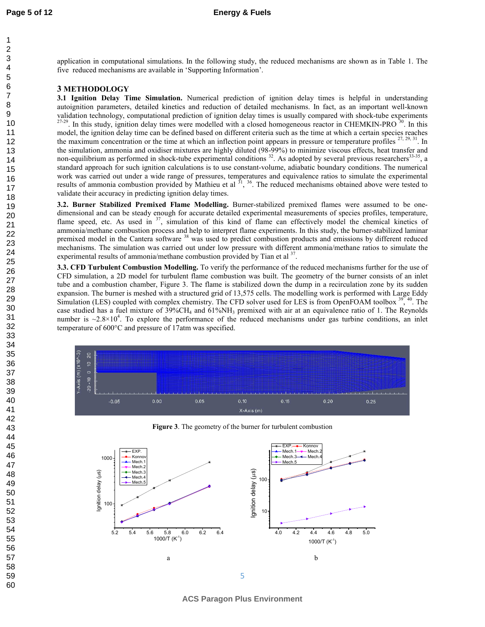application in computational simulations. In the following study, the reduced mechanisms are shown as in Table 1. The five reduced mechanisms are available in 'Supporting Information'.

#### **3 METHODOLOGY**

**3.1 Ignition Delay Time Simulation.** Numerical prediction of ignition delay times is helpful in understanding autoignition parameters, detailed kinetics and reduction of detailed mechanisms. In fact, as an important well-known validation technology, computational prediction of ignition delay times is usually compared with shock-tube experiments  $27-29$ . In this study, ignition delay times were modelled with a closed homogeneous reactor in CHEMKIN-PRO  $30$ . In this model, the ignition delay time can be defined based on different criteria such as the time at which a certain species reaches the maximum concentration or the time at which an inflection point appears in pressure or temperature profiles  $27, 29, 31$ . In the simulation, ammonia and oxidiser mixtures are highly diluted (98-99%) to minimize viscous effects, heat transfer and non-equilibrium as performed in shock-tube experimental conditions <sup>32</sup>. As adopted by several previous researchers<sup>33-35</sup>, a standard approach for such ignition calculations is to use constant-volume, adiabatic boundary conditions. The numerical work was carried out under a wide range of pressures, temperatures and equivalence ratios to simulate the experimental results of ammonia combustion provided by Mathieu et al  $^{31}$ ,  $^{36}$ . The reduced mechanisms obtained above were tested to validate their accuracy in predicting ignition delay times.

**3.2. Burner Stabilized Premixed Flame Modelling. Burner-stabilized premixed flames were assumed to be one**dimensional and can be steady enough for accurate detailed experimental measurements of species profiles, temperature, flame speed, etc. As used in <sup>37</sup>, simulation of this kind of flame can effectively model the chemical kinetics of ammonia/methane combustion process and help to interpret flame experiments. In this study, the burner-stabilized laminar premixed model in the Cantera software <sup>38</sup> was used to predict combustion products and emissions by different reduced mechanisms. The simulation was carried out under low pressure with different ammonia/methane ratios to simulate the experimental results of ammonia/methane combustion provided by Tian et al  $37$ .

**3.3. CFD Turbulent Combustion Modelling.** To verify the performance of the reduced mechanisms further for the use of CFD simulation, a 2D model for turbulent flame combustion was built. The geometry of the burner consists of an inlet tube and a combustion chamber, Figure 3. The flame is stabilized down the dump in a recirculation zone by its sudden expansion. The burner is meshed with a structured grid of 13,575 cells. The modelling work is performed with Large Eddy Simulation (LES) coupled with complex chemistry. The CFD solver used for LES is from OpenFOAM toolbox <sup>39</sup>,<sup>40</sup>. The case studied has a fuel mixture of  $39\%CH_4$  and  $61\%NH_3$  premixed with air at an equivalence ratio of 1. The Reynolds number is  $\sim 2.8 \times 10^4$ . To explore the performance of the reduced mechanisms under gas turbine conditions, an inlet temperature of 600°C and pressure of 17atm was specified.



**Figure 3**. The geometry of the burner for turbulent combustion



**ACS Paragon Plus Environment**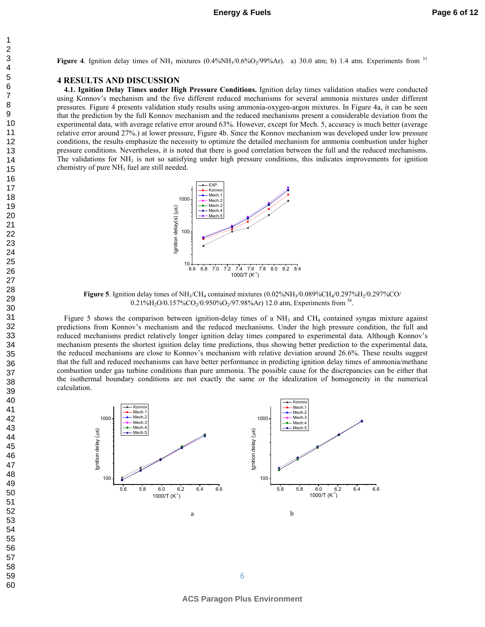#### **4 RESULTS AND DISCUSSION**

**4.1. Ignition Delay Times under High Pressure Conditions. Ignition delay times validation studies were conducted** using Konnov's mechanism and the five different reduced mechanisms for several ammonia mixtures under different pressures. Figure 4 presents validation study results using ammonia-oxygen-argon mixtures. In Figure 4a, it can be seen that the prediction by the full Konnov mechanism and the reduced mechanisms present a considerable deviation from the experimental data, with average relative error around 63%. However, except for Mech. 5, accuracy is much better (average relative error around 27%.) at lower pressure, Figure 4b. Since the Konnov mechanism was developed under low pressure conditions, the results emphasize the necessity to optimize the detailed mechanism for ammonia combustion under higher pressure conditions. Nevertheless, it is noted that there is good correlation between the full and the reduced mechanisms. The validations for  $NH<sub>3</sub>$  is not so satisfying under high pressure conditions, this indicates improvements for ignition chemistry of pure NH<sub>3</sub> fuel are still needed.



**Figure 5**. Ignition delay times of  $NH_3/CH_4$  contained mixtures  $(0.02\%NH_3/0.089\%CH_4/0.297\%H_2/0.297\%CO$  $0.21\%$ H<sub>2</sub>O/0.157%CO<sub>2</sub>/0.950%O<sub>2</sub>/97.98%Ar) 12.0 atm, Experiments from <sup>36</sup>.

Figure 5 shows the comparison between ignition-delay times of a  $NH<sub>3</sub>$  and  $CH<sub>4</sub>$  contained syngas mixture against predictions from Konnov's mechanism and the reduced mechanisms. Under the high pressure condition, the full and reduced mechanisms predict relatively longer ignition delay times compared to experimental data. Although Konnov's mechanism presents the shortest ignition delay time predictions, thus showing better prediction to the experimental data, the reduced mechanisms are close to Konnov's mechanism with relative deviation around 26.6%. These results suggest that the full and reduced mechanisms can have better performance in predicting ignition delay times of ammonia/methane combustion under gas turbine conditions than pure ammonia. The possible cause for the discrepancies can be either that the isothermal boundary conditions are not exactly the same or the idealization of homogeneity in the numerical calculation.

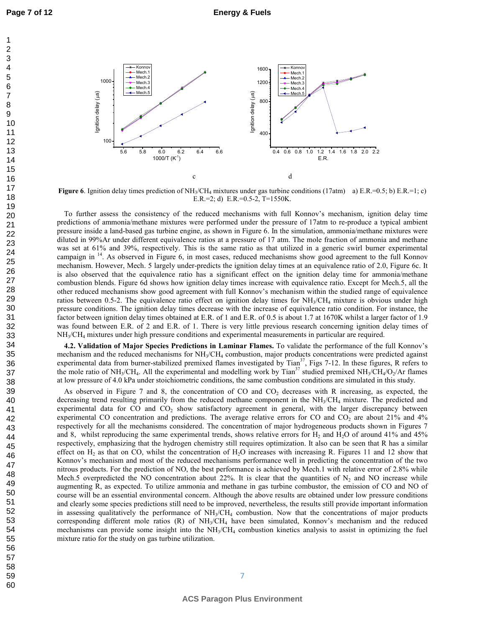**Page 7 of 12**



**Figure 6**. Ignition delay times prediction of NH<sub>3</sub>/CH<sub>4</sub> mixtures under gas turbine conditions (17atm) a) E.R.=0.5; b) E.R.=1; c) E.R.=2; d) E.R.=0.5-2, T=1550K.

To further assess the consistency of the reduced mechanisms with full Konnov's mechanism, ignition delay time predictions of ammonia/methane mixtures were performed under the pressure of 17atm to re-produce a typical ambient pressure inside a landbased gas turbine engine, as shown in Figure 6. In the simulation, ammonia/methane mixtures were diluted in 99%Ar under different equivalence ratios at a pressure of 17 atm. The mole fraction of ammonia and methane was set at 61% and 39%, respectively. This is the same ratio as that utilized in a generic swirl burner experimental campaign in <sup>14</sup>. As observed in Figure 6, in most cases, reduced mechanisms show good agreement to the full Konnov mechanism. However, Mech. 5 largely under-predicts the ignition delay times at an equivalence ratio of 2.0, Figure 6c. It is also observed that the equivalence ratio has a significant effect on the ignition delay time for ammonia/methane combustion blends. Figure 6d shows how ignition delay times increase with equivalence ratio. Except for Mech.5, all the other reduced mechanisms show good agreement with full Konnov's mechanism within the studied range of equivalence ratios between 0.5-2. The equivalence ratio effect on ignition delay times for NH<sub>3</sub>/CH<sub>4</sub> mixture is obvious under high pressure conditions. The ignition delay times decrease with the increase of equivalence ratio condition. For instance, the factor between ignition delay times obtained at E.R. of 1 and E.R. of 0.5 is about 1.7 at 1670K whilst a larger factor of 1.9 was found between E.R. of 2 and E.R. of 1. There is very little previous research concerning ignition delay times of NH<sup>3</sup> /CH<sup>4</sup> mixtures under high pressure conditions and experimental measurements in particular are required.

**4.2. Validation of Major Species Predictions in Laminar Flames. To validate the performance of the full Konnov's** mechanism and the reduced mechanisms for NH<sub>3</sub>/CH<sub>4</sub> combustion, major products concentrations were predicted against experimental data from burner-stabilized premixed flames investigated by Tian<sup>37</sup>, Figs 7-12. In these figures, R refers to the mole ratio of NH<sub>3</sub>/CH<sub>4</sub>. All the experimental and modelling work by Tian<sup>37</sup> studied premixed NH<sub>3</sub>/CH<sub>4</sub>/O<sub>2</sub>/Ar flames at low pressure of 4.0 kPa under stoichiometric conditions, the same combustion conditions are simulated in this study.

As observed in Figure 7 and 8, the concentration of CO and  $CO<sub>2</sub>$  decreases with R increasing, as expected, the decreasing trend resulting primarily from the reduced methane component in the  $NH<sub>3</sub>/CH<sub>4</sub>$  mixture. The predicted and experimental data for  $CO$  and  $CO<sub>2</sub>$  show satisfactory agreement in general, with the larger discrepancy between experimental CO concentration and predictions. The average relative errors for CO and  $CO<sub>2</sub>$  are about 21% and 4% respectively for all the mechanisms considered. The concentration of major hydrogeneous products shown in Figures 7 and 8, whilst reproducing the same experimental trends, shows relative errors for  $H_2$  and  $H_2O$  of around 41% and 45% respectively, emphasizing that the hydrogen chemistry still requires optimization. It also can be seen that R has a similar effect on  $H_2$  as that on CO, whilst the concentration of  $H_2O$  increases with increasing R. Figures 11 and 12 show that Konnov's mechanism and most of the reduced mechanisms performance well in predicting the concentration of the two nitrous products. For the prediction of NO, the best performance is achieved by Mech.1 with relative error of 2.8% while Mech.5 overpredicted the NO concentration about 22%. It is clear that the quantities of  $N_2$  and NO increase while augmenting R, as expected. To utilize ammonia and methane in gas turbine combustor, the emission of CO and NO of course will be an essential environmental concern. Although the above results are obtained under low pressure conditions and clearly some species predictions still need to be improved, nevertheless, the results still provide important information in assessing qualitatively the performance of  $NH<sub>3</sub>/CH<sub>4</sub>$  combustion. Now that the concentrations of major products corresponding different mole ratios (R) of NH<sup>3</sup> /CH<sup>4</sup> have been simulated, Konnov's mechanism and the reduced mechanisms can provide some insight into the NH<sub>3</sub>/CH<sub>4</sub> combustion kinetics analysis to assist in optimizing the fuel mixture ratio for the study on gas turbine utilization.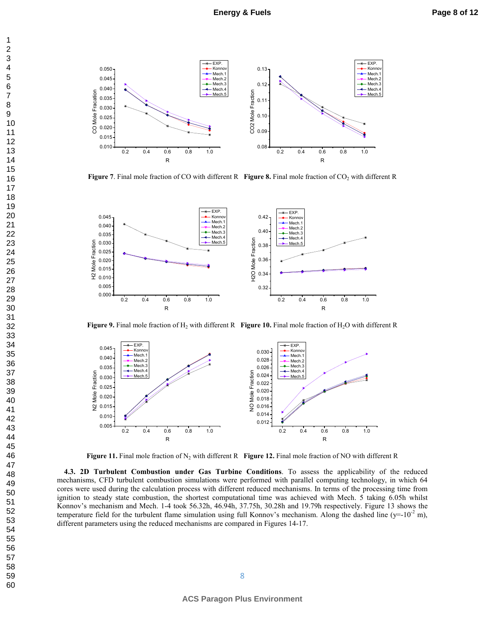

**Figure 7.** Final mole fraction of CO with different R **Figure 8.** Final mole fraction of CO<sub>2</sub> with different R



**Figure 9.** Final mole fraction of  $H_2$  with different R **Figure 10.** Final mole fraction of  $H_2O$  with different R



**Figure 11.** Final mole fraction of  $N_2$  with different R **Figure 12.** Final mole fraction of NO with different R

**4.3. 2D Turbulent Combustion under Gas Turbine Conditions.** To assess the applicability of the reduced mechanisms, CFD turbulent combustion simulations were performed with parallel computing technology, in which 64 cores were used during the calculation process with different reduced mechanisms. In terms of the processing time from ignition to steady state combustion, the shortest computational time was achieved with Mech. 5 taking 6.05h whilst Konnov's mechanism and Mech. 1-4 took 56.32h, 46.94h, 37.75h, 30.28h and 19.79h respectively. Figure 13 shows the temperature field for the turbulent flame simulation using full Konnov's mechanism. Along the dashed line (y=- $10^{-2}$  m), different parameters using the reduced mechanisms are compared in Figures 1417.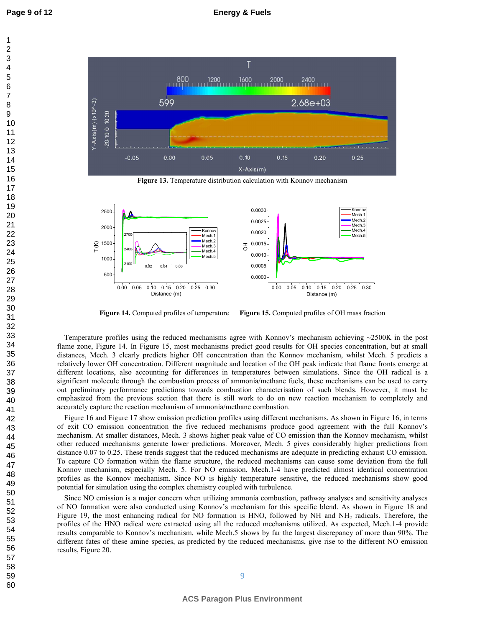1 2 3



**Figure 13.** Temperature distribution calculation with Konnov mechanism



**Figure 14.** Computed profiles of temperature **Figure** Figure 15. Computed profiles of OH mass fraction

Temperature profiles using the reduced mechanisms agree with Konnov's mechanism achieving ~2500K in the post flame zone, Figure 14. In Figure 15, most mechanisms predict good results for OH species concentration, but at small distances, Mech. 3 clearly predicts higher OH concentration than the Konnov mechanism, whilst Mech. 5 predicts a relatively lower OH concentration. Different magnitude and location of the OH peak indicate that flame fronts emerge at different locations, also accounting for differences in temperatures between simulations. Since the OH radical is a significant molecule through the combustion process of ammonia/methane fuels, these mechanisms can be used to carry out preliminary performance predictions towards combustion characterisation of such blends. However, it must be emphasized from the previous section that there is still work to do on new reaction mechanism to completely and accurately capture the reaction mechanism of ammonia/methane combustion.

Figure 16 and Figure 17 show emission prediction profiles using different mechanisms. As shown in Figure 16, in terms of exit CO emission concentration the five reduced mechanisms produce good agreement with the full Konnov's mechanism. At smaller distances, Mech. 3 shows higher peak value of CO emission than the Konnov mechanism, whilst other reduced mechanisms generate lower predictions. Moreover, Mech. 5 gives considerably higher predictions from distance 0.07 to 0.25. These trends suggest that the reduced mechanisms are adequate in predicting exhaust CO emission. To capture CO formation within the flame structure, the reduced mechanisms can cause some deviation from the full Konnov mechanism, especially Mech. 5. For NO emission, Mech.14 have predicted almost identical concentration profiles as the Konnov mechanism. Since NO is highly temperature sensitive, the reduced mechanisms show good potential for simulation using the complex chemistry coupled with turbulence.

Since NO emission is a major concern when utilizing ammonia combustion, pathway analyses and sensitivity analyses of NO formation were also conducted using Konnov's mechanism for this specific blend. As shown in Figure 18 and Figure 19, the most enhancing radical for NO formation is HNO, followed by NH and NH<sub>2</sub> radicals. Therefore, the profiles of the HNO radical were extracted using all the reduced mechanisms utilized. As expected, Mech.14 provide results comparable to Konnov's mechanism, while Mech.5 shows by far the largest discrepancy of more than 90%. The different fates of these amine species, as predicted by the reduced mechanisms, give rise to the different NO emission results, Figure 20.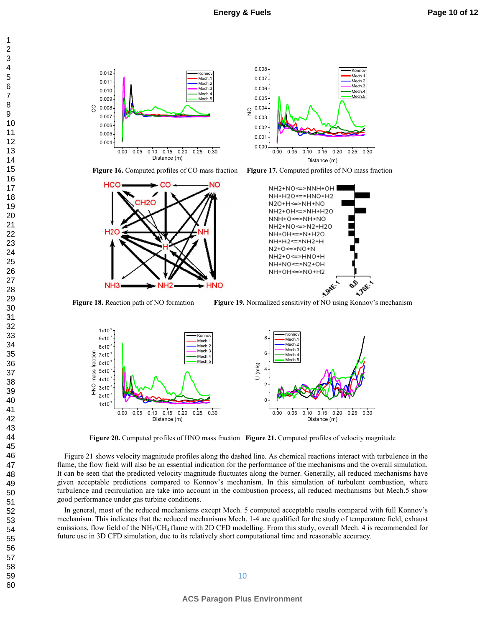



**Figure 16.** Computed profiles of CO mass fraction **Figure** 







**Figure 18.** Reaction path of NO formation **Figure** 

Figure 19. Normalized sensitivity of NO using Konnov's mechanism



**Figure 20.** Computed profiles of HNO mass fraction **Figure 21.** Computed profiles of velocity magnitude

Figure 21 shows velocity magnitude profiles along the dashed line. As chemical reactions interact with turbulence in the flame, the flow field will also be an essential indication for the performance of the mechanisms and the overall simulation. It can be seen that the predicted velocity magnitude fluctuates along the burner. Generally, all reduced mechanisms have given acceptable predictions compared to Konnov's mechanism. In this simulation of turbulent combustion, where turbulence and recirculation are take into account in the combustion process, all reduced mechanisms but Mech.5 show good performance under gas turbine conditions.

In general, most of the reduced mechanisms except Mech. 5 computed acceptable results compared with full Konnov's mechanism. This indicates that the reduced mechanisms Mech. 1-4 are qualified for the study of temperature field, exhaust emissions, flow field of the NH<sub>3</sub>/CH<sub>4</sub> flame with 2D CFD modelling. From this study, overall Mech. 4 is recommended for future use in 3D CFD simulation, due to its relatively short computational time and reasonable accuracy.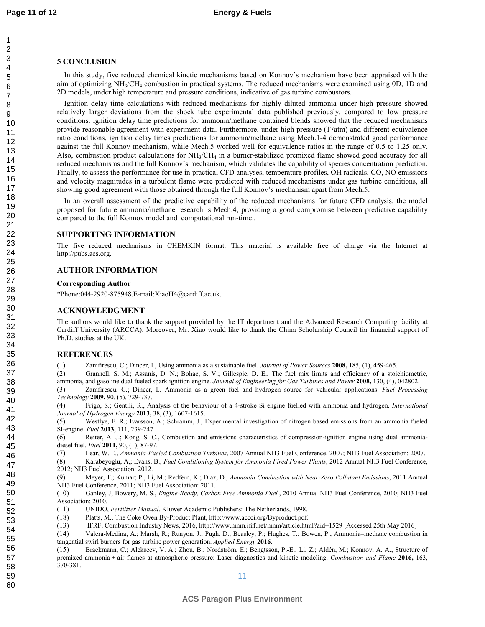#### **5 CONCLUSION**

In this study, five reduced chemical kinetic mechanisms based on Konnov's mechanism have been appraised with the aim of optimizing NH<sub>3</sub>/CH<sub>4</sub> combustion in practical systems. The reduced mechanisms were examined using 0D, 1D and 2D models, under high temperature and pressure conditions, indicative of gas turbine combustors.

Ignition delay time calculations with reduced mechanisms for highly diluted ammonia under high pressure showed relatively larger deviations from the shock tube experimental data published previously, compared to low pressure conditions. Ignition delay time predictions for ammonia/methane contained blends showed that the reduced mechanisms provide reasonable agreement with experiment data. Furthermore, under high pressure (17atm) and different equivalence ratio conditions, ignition delay times predictions for ammonia/methane using Mech.14 demonstrated good performance against the full Konnov mechanism, while Mech.5 worked well for equivalence ratios in the range of 0.5 to 1.25 only. Also, combustion product calculations for  $NH<sub>3</sub>/CH<sub>4</sub>$  in a burner-stabilized premixed flame showed good accuracy for all reduced mechanisms and the full Konnov's mechanism, which validates the capability of species concentration prediction. Finally, to assess the performance for use in practical CFD analyses, temperature profiles, OH radicals, CO, NO emissions and velocity magnitudes in a turbulent flame were predicted with reduced mechanisms under gas turbine conditions, all showing good agreement with those obtained through the full Konnov's mechanism apart from Mech.5.

In an overall assessment of the predictive capability of the reduced mechanisms for future CFD analysis, the model proposed for future ammonia/methane research is Mech.4, providing a good compromise between predictive capability compared to the full Konnov model and computational run-time..

#### **SUPPORTING INFORMATION**

The five reduced mechanisms in CHEMKIN format. This material is available free of charge via the Internet at http://pubs.acs.org.

#### **AUTHOR INFORMATION**

#### **Corresponding Author**

\*Phone:044-2920-875948.E-mail:XiaoH4@cardiff.ac.uk.

#### **ACKNOWLEDGMENT**

The authors would like to thank the support provided by the IT department and the Advanced Research Computing facility at Cardiff University (ARCCA). Moreover, Mr. Xiao would like to thank the China Scholarship Council for financial support of Ph.D. studies at the UK.

#### ${\bf REFERENCE}$

(1) Zamfirescu, C.; Dincer, I., Using ammonia as a sustainable fuel. *Journal of Power Sources* 2008, 185, (1), 459-465.

(2) Grannell, S. M.; Assanis, D. N.; Bohac, S. V.; Gillespie, D. E., The fuel mix limits and efficiency of a stoichiometric, ammonia, and gasoline dual fueled spark ignition engine. *Journal of Engineering for Gas Turbines and Power* **2008**, 130, (4), 042802.

(3) Zamfirescu, C.; Dincer, I., Ammonia as a green fuel and hydrogen source for vehicular applications. *Fuel Processing Technology* 2009, 90, (5), 729-737.

(4) Frigo, S.; Gentili, R., Analysis of the behaviour of a 4stroke Si engine fuelled with ammonia and hydrogen.  *Journal of Hydrogen Energy* 2013, 38, (3), 1607-1615.

(5) Westlye, F. R.; Ivarsson, A.; Schramm, J., Experimental investigation of nitrogen based emissions from an ammonia fueled SI-engine. *Fuel* 2013, 111, 239-247.

(6) Reiter, A. J.; Kong, S. C., Combustion and emissions characteristics of compressionignition engine using dual ammonia diesel fuel. *Fuel* **2011**, 90, (1), 87-97.

(7) Lear, W. E., *Ammonia-Fueled Combustion Turbines*, 2007 Annual NH3 Fuel Conference, 2007; NH3 Fuel Association: 2007.

(8) Karabeyoglu, A,; Evans, B., , 2012 Annual NH3 Fuel Conference, 2012; NH3 Fuel Association: 2012.

(9) Meyer, T.; Kumar; P., Li, M.; Redfern, K.; Diaz, D., *Ammonia Combustion with Near-Zero Pollutant Emissions*, 2011 Annual NH3 Fuel Conference, 2011; NH3 Fuel Association: 2011.

(10) Ganley, J; Bowery, M. S., *Engine-Ready, Carbon Free Ammonia Fuel.*, 2010 Annual NH3 Fuel Conference, 2010; NH3 Fuel Association: 2010.

- (11) UNIDO, *Fertilizer Manual*. Kluwer Academic Publishers: The Netherlands, 1998.
- (18) Platts, M., The Coke Oven By-Product Plant, http://www.accci.org/Byproduct.pdf.
- (13) IFRF, Combustion Industry News, 2016, http://www.mnm.ifrf.net/mnm/article.html?aid=1529 [Accessed 25th May 2016]

(14) Valera-Medina, A.; Marsh, R.; Runyon, J.; Pugh, D.; Beasley, P.; Hughes, T.; Bowen, P., Ammonia–methane combustion in tangential swirl burners for gas turbine power generation. *Applied Energy* 2016.

(15) Brackmann, C.; Alekseev, V. A.; Zhou, B.; Nordström, E.; Bengtsson, P.E.; Li, Z.; Aldén, M.; Konnov, A. A., Structure of premixed ammonia + air flames at atmospheric pressure: Laser diagnostics and kinetic modeling. *Combustion and Flame* 2016, 163, 370381.